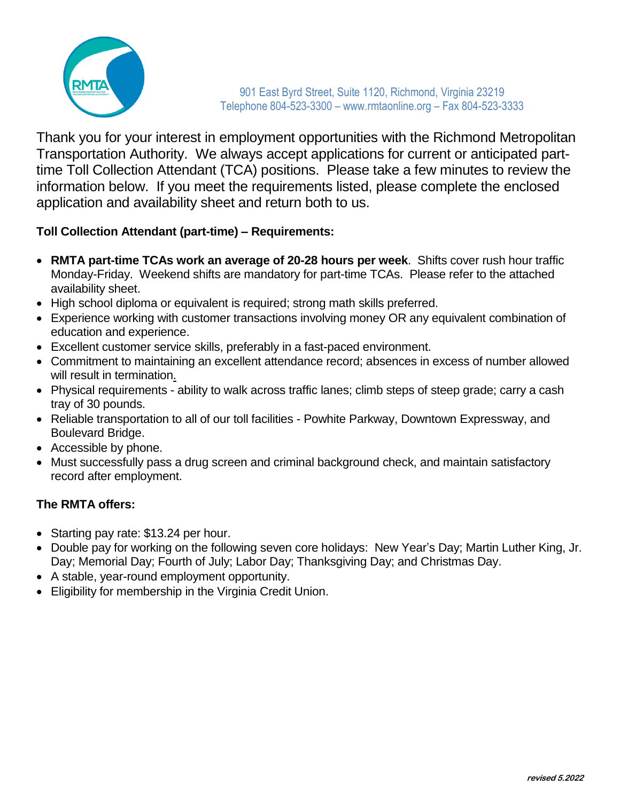

Thank you for your interest in employment opportunities with the Richmond Metropolitan Transportation Authority. We always accept applications for current or anticipated parttime Toll Collection Attendant (TCA) positions. Please take a few minutes to review the information below. If you meet the requirements listed, please complete the enclosed application and availability sheet and return both to us.

#### **Toll Collection Attendant (part-time) – Requirements:**

- **RMTA part-time TCAs work an average of 20-28 hours per week**. Shifts cover rush hour traffic Monday-Friday. Weekend shifts are mandatory for part-time TCAs. Please refer to the attached availability sheet.
- High school diploma or equivalent is required; strong math skills preferred.
- Experience working with customer transactions involving money OR any equivalent combination of education and experience.
- Excellent customer service skills, preferably in a fast-paced environment.
- Commitment to maintaining an excellent attendance record; absences in excess of number allowed will result in termination.
- Physical requirements ability to walk across traffic lanes; climb steps of steep grade; carry a cash tray of 30 pounds.
- Reliable transportation to all of our toll facilities Powhite Parkway, Downtown Expressway, and Boulevard Bridge.
- Accessible by phone.
- Must successfully pass a drug screen and criminal background check, and maintain satisfactory record after employment.

#### **The RMTA offers:**

- Starting pay rate: \$13.24 per hour.
- Double pay for working on the following seven core holidays: New Year's Day; Martin Luther King, Jr. Day; Memorial Day; Fourth of July; Labor Day; Thanksgiving Day; and Christmas Day.
- A stable, year-round employment opportunity.
- Eligibility for membership in the Virginia Credit Union.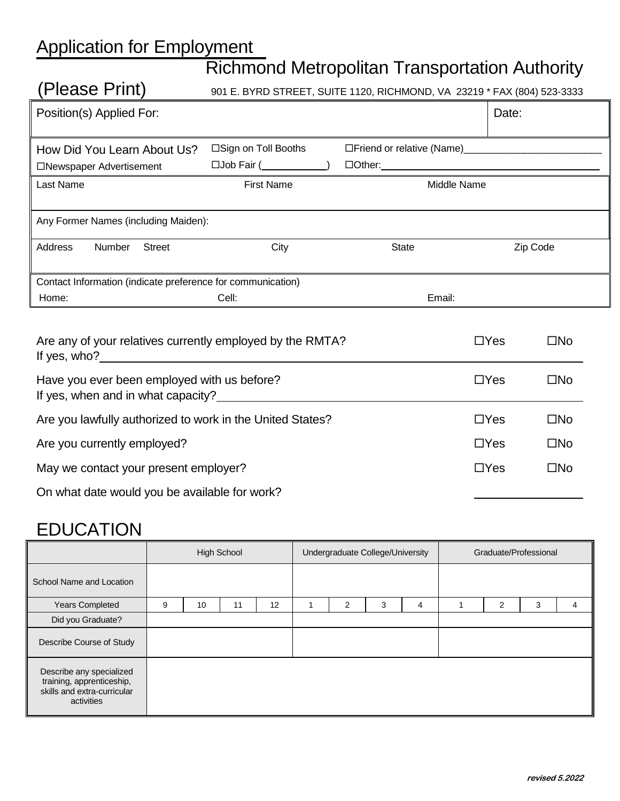# Application for Employment

# Richmond Metropolitan Transportation Authority

| (Please Print)                                                                                                  |                                                  | 901 E. BYRD STREET, SUITE 1120, RICHMOND, VA 23219 * FAX (804) 523-3333 |          |  |  |  |  |  |  |  |  |
|-----------------------------------------------------------------------------------------------------------------|--------------------------------------------------|-------------------------------------------------------------------------|----------|--|--|--|--|--|--|--|--|
| Position(s) Applied For:                                                                                        |                                                  |                                                                         | Date:    |  |  |  |  |  |  |  |  |
| How Did You Learn About Us?<br>□Newspaper Advertisement                                                         | □Sign on Toll Booths<br>$\Box$ Job Fair ( $\Box$ |                                                                         |          |  |  |  |  |  |  |  |  |
| Last Name                                                                                                       | <b>First Name</b>                                | Middle Name                                                             |          |  |  |  |  |  |  |  |  |
| Any Former Names (including Maiden):                                                                            |                                                  |                                                                         |          |  |  |  |  |  |  |  |  |
| Address<br>Number<br><b>Street</b>                                                                              | City                                             | <b>State</b>                                                            | Zip Code |  |  |  |  |  |  |  |  |
| Contact Information (indicate preference for communication)                                                     |                                                  |                                                                         |          |  |  |  |  |  |  |  |  |
| Home:                                                                                                           |                                                  |                                                                         |          |  |  |  |  |  |  |  |  |
| Are any of your relatives currently employed by the RMTA?<br>$\Box$ Yes<br>$\square$ No                         |                                                  |                                                                         |          |  |  |  |  |  |  |  |  |
| $\square$ No<br>Have you ever been employed with us before?<br>$\Box$ Yes<br>If yes, when and in what capacity? |                                                  |                                                                         |          |  |  |  |  |  |  |  |  |
| 0 مقطعة 10 أموية من المقطع من عامر من عام المقطعة من المناسبة المناسبة المناسبة المقدمة المناسبة الم<br>mar-    |                                                  |                                                                         |          |  |  |  |  |  |  |  |  |

| Are you lawfully authorized to work in the United States? | $\Box$ Yes | □No          |
|-----------------------------------------------------------|------------|--------------|
| Are you currently employed?                               | $\Box$ Yes | $\square$ No |
| May we contact your present employer?                     | $\Box$ Yes | $\square$ No |
| On what date would you be available for work?             |            |              |

## EDUCATION

|                                                                                                    | <b>High School</b> |    |    | Undergraduate College/University |  |   | Graduate/Professional |   |  |   |   |   |
|----------------------------------------------------------------------------------------------------|--------------------|----|----|----------------------------------|--|---|-----------------------|---|--|---|---|---|
| School Name and Location                                                                           |                    |    |    |                                  |  |   |                       |   |  |   |   |   |
| <b>Years Completed</b>                                                                             | 9                  | 10 | 11 | 12                               |  | 2 | 3                     | 4 |  | 2 | 3 | 4 |
| Did you Graduate?                                                                                  |                    |    |    |                                  |  |   |                       |   |  |   |   |   |
| Describe Course of Study                                                                           |                    |    |    |                                  |  |   |                       |   |  |   |   |   |
| Describe any specialized<br>training, apprenticeship,<br>skills and extra-curricular<br>activities |                    |    |    |                                  |  |   |                       |   |  |   |   |   |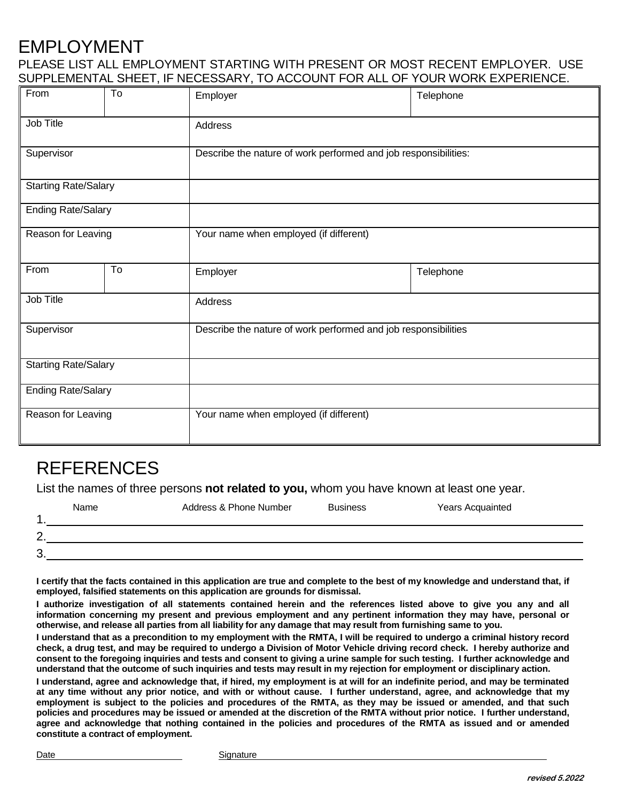### EMPLOYMENT

#### PLEASE LIST ALL EMPLOYMENT STARTING WITH PRESENT OR MOST RECENT EMPLOYER. USE SUPPLEMENTAL SHEET, IF NECESSARY, TO ACCOUNT FOR ALL OF YOUR WORK EXPERIENCE.

| From                        | To | Employer                                                        | Telephone |  |  |  |
|-----------------------------|----|-----------------------------------------------------------------|-----------|--|--|--|
| Job Title                   |    | Address                                                         |           |  |  |  |
| Supervisor                  |    | Describe the nature of work performed and job responsibilities: |           |  |  |  |
| <b>Starting Rate/Salary</b> |    |                                                                 |           |  |  |  |
| <b>Ending Rate/Salary</b>   |    |                                                                 |           |  |  |  |
| Reason for Leaving          |    | Your name when employed (if different)                          |           |  |  |  |
| From                        | To | Employer                                                        | Telephone |  |  |  |
| Job Title                   |    | Address                                                         |           |  |  |  |
| Supervisor                  |    | Describe the nature of work performed and job responsibilities  |           |  |  |  |
| <b>Starting Rate/Salary</b> |    |                                                                 |           |  |  |  |
| <b>Ending Rate/Salary</b>   |    |                                                                 |           |  |  |  |
| Reason for Leaving          |    | Your name when employed (if different)                          |           |  |  |  |

### REFERENCES

List the names of three persons **not related to you,** whom you have known at least one year.

|                | Name | Address & Phone Number | <b>Business</b> | Years Acquainted |
|----------------|------|------------------------|-----------------|------------------|
|                |      |                        |                 |                  |
| $\overline{2}$ |      |                        |                 |                  |
| 3              |      |                        |                 |                  |

**I certify that the facts contained in this application are true and complete to the best of my knowledge and understand that, if employed, falsified statements on this application are grounds for dismissal.**

**I authorize investigation of all statements contained herein and the references listed above to give you any and all information concerning my present and previous employment and any pertinent information they may have, personal or otherwise, and release all parties from all liability for any damage that may result from furnishing same to you.**

**I understand that as a precondition to my employment with the RMTA, I will be required to undergo a criminal history record check, a drug test, and may be required to undergo a Division of Motor Vehicle driving record check. I hereby authorize and consent to the foregoing inquiries and tests and consent to giving a urine sample for such testing. I further acknowledge and understand that the outcome of such inquiries and tests may result in my rejection for employment or disciplinary action.**

**I understand, agree and acknowledge that, if hired, my employment is at will for an indefinite period, and may be terminated at any time without any prior notice, and with or without cause. I further understand, agree, and acknowledge that my employment is subject to the policies and procedures of the RMTA, as they may be issued or amended, and that such policies and procedures may be issued or amended at the discretion of the RMTA without prior notice. I further understand, agree and acknowledge that nothing contained in the policies and procedures of the RMTA as issued and or amended constitute a contract of employment.**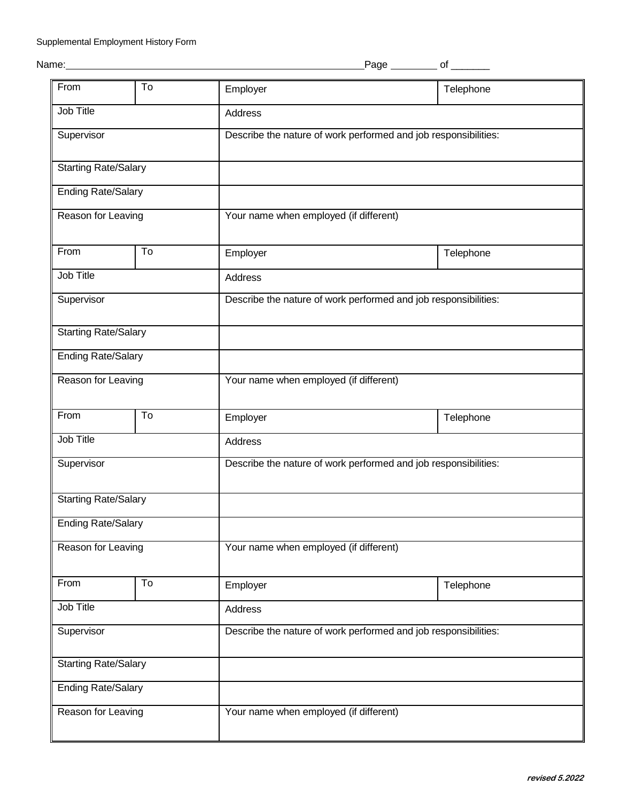| Name | ane' | Ω1 |
|------|------|----|
|      |      |    |

| From                        | To | Employer                                                        | Telephone |  |  |  |
|-----------------------------|----|-----------------------------------------------------------------|-----------|--|--|--|
| Job Title                   |    | Address                                                         |           |  |  |  |
| Supervisor                  |    | Describe the nature of work performed and job responsibilities: |           |  |  |  |
| <b>Starting Rate/Salary</b> |    |                                                                 |           |  |  |  |
| <b>Ending Rate/Salary</b>   |    |                                                                 |           |  |  |  |
| Reason for Leaving          |    | Your name when employed (if different)                          |           |  |  |  |
| From                        | To | Employer                                                        | Telephone |  |  |  |
| Job Title                   |    | Address                                                         |           |  |  |  |
| Supervisor                  |    | Describe the nature of work performed and job responsibilities: |           |  |  |  |
| <b>Starting Rate/Salary</b> |    |                                                                 |           |  |  |  |
| <b>Ending Rate/Salary</b>   |    |                                                                 |           |  |  |  |
| Reason for Leaving          |    | Your name when employed (if different)                          |           |  |  |  |
| From                        | To | Employer                                                        | Telephone |  |  |  |
| Job Title                   |    | Address                                                         |           |  |  |  |
| Supervisor                  |    | Describe the nature of work performed and job responsibilities: |           |  |  |  |
| <b>Starting Rate/Salary</b> |    |                                                                 |           |  |  |  |
| <b>Ending Rate/Salary</b>   |    |                                                                 |           |  |  |  |
| Reason for Leaving          |    | Your name when employed (if different)                          |           |  |  |  |
| From                        | To | Employer                                                        | Telephone |  |  |  |
| Job Title                   |    | Address                                                         |           |  |  |  |
| Supervisor                  |    | Describe the nature of work performed and job responsibilities: |           |  |  |  |
| <b>Starting Rate/Salary</b> |    |                                                                 |           |  |  |  |
| <b>Ending Rate/Salary</b>   |    |                                                                 |           |  |  |  |
| Reason for Leaving          |    | Your name when employed (if different)                          |           |  |  |  |